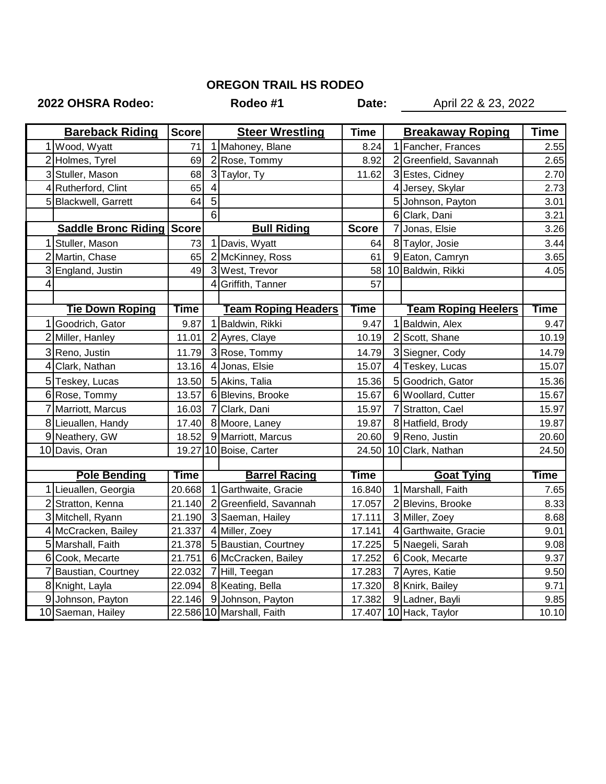## **OREGON TRAIL HS RODEO**

## **2022 OHSRA Rodeo: Rodeo #1 Date:** April 22 & 23, 2022

| <b>Bareback Riding</b> |                                  | <b>Score</b> | <b>Steer Wrestling</b> |                            | <b>Time</b>  | <b>Breakaway Roping</b> |                            | <b>Time</b> |
|------------------------|----------------------------------|--------------|------------------------|----------------------------|--------------|-------------------------|----------------------------|-------------|
|                        | 1 Wood, Wyatt                    | 71           |                        | 1 Mahoney, Blane           | 8.24         |                         | 1 Fancher, Frances         | 2.55        |
|                        | 2 Holmes, Tyrel                  | 69           |                        | 2 Rose, Tommy              | 8.92         |                         | 2 Greenfield, Savannah     | 2.65        |
|                        | 3 Stuller, Mason                 | 68           |                        | 3 Taylor, Ty               | 11.62        |                         | 3 Estes, Cidney            | 2.70        |
|                        | 4 Rutherford, Clint              | 65           | 4                      |                            |              |                         | 4 Jersey, Skylar           | 2.73        |
|                        | 5 Blackwell, Garrett             | 64           | 5                      |                            |              |                         | 5 Johnson, Payton          | 3.01        |
|                        |                                  |              | 6                      |                            |              |                         | 6 Clark, Dani              | 3.21        |
|                        | <b>Saddle Bronc Riding Score</b> |              |                        | <b>Bull Riding</b>         | <b>Score</b> |                         | 7 Jonas, Elsie             | 3.26        |
|                        | 1 Stuller, Mason                 | 73           |                        | 1 Davis, Wyatt             | 64           |                         | 8 Taylor, Josie            | 3.44        |
|                        | 2 Martin, Chase                  | 65           |                        | 2 McKinney, Ross           | 61           |                         | 9 Eaton, Camryn            | 3.65        |
|                        | 3 England, Justin                | 49           |                        | 3 West, Trevor             | 58           |                         | 10 Baldwin, Rikki          | 4.05        |
| 4                      |                                  |              | 4                      | Griffith, Tanner           | 57           |                         |                            |             |
|                        |                                  |              |                        |                            |              |                         |                            |             |
|                        | <b>Tie Down Roping</b>           | Time         |                        | <b>Team Roping Headers</b> | <b>Time</b>  |                         | <b>Team Roping Heelers</b> | Time        |
|                        | 1 Goodrich, Gator                | 9.87         | 1                      | Baldwin, Rikki             | 9.47         |                         | 1 Baldwin, Alex            | 9.47        |
|                        | 2 Miller, Hanley                 | 11.01        |                        | 2 Ayres, Claye             | 10.19        |                         | 2 Scott, Shane             | 10.19       |
|                        | 3 Reno, Justin                   | 11.79        |                        | 3 Rose, Tommy              | 14.79        |                         | 3 Siegner, Cody            | 14.79       |
|                        | 4 Clark, Nathan                  | 13.16        |                        | 4 Jonas, Elsie             | 15.07        |                         | 4 Teskey, Lucas            | 15.07       |
|                        | 5 Teskey, Lucas                  | 13.50        |                        | 5 Akins, Talia             | 15.36        |                         | 5 Goodrich, Gator          | 15.36       |
|                        | 6 Rose, Tommy                    | 13.57        |                        | 6 Blevins, Brooke          | 15.67        |                         | 6 Woollard, Cutter         | 15.67       |
|                        | 7 Marriott, Marcus               | 16.03        |                        | 7 Clark, Dani              | 15.97        |                         | 7 Stratton, Cael           | 15.97       |
|                        | 8 Lieuallen, Handy               | 17.40        |                        | 8 Moore, Laney             | 19.87        |                         | 8 Hatfield, Brody          | 19.87       |
|                        | 9 Neathery, GW                   | 18.52        |                        | 9 Marriott, Marcus         | 20.60        |                         | 9 Reno, Justin             | 20.60       |
|                        | 10 Davis, Oran                   |              |                        | 19.27 10 Boise, Carter     | 24.50        |                         | 10 Clark, Nathan           | 24.50       |
|                        |                                  |              |                        |                            |              |                         |                            |             |
|                        | <b>Pole Bending</b>              | Time         |                        | <b>Barrel Racing</b>       | Time         |                         | <b>Goat Tying</b>          | Time        |
|                        | 1 Lieuallen, Georgia             | 20.668       |                        | Garthwaite, Gracie         | 16.840       |                         | 1 Marshall, Faith          | 7.65        |
|                        | 2 Stratton, Kenna                | 21.140       | $\overline{2}$         | Greenfield, Savannah       | 17.057       |                         | 2 Blevins, Brooke          | 8.33        |
|                        | 3 Mitchell, Ryann                | 21.190       |                        | 3 Saeman, Hailey           | 17.111       |                         | 3 Miller, Zoey             | 8.68        |
|                        | 4 McCracken, Bailey              | 21.337       |                        | 4 Miller, Zoey             | 17.141       |                         | 4 Garthwaite, Gracie       | 9.01        |
|                        | 5 Marshall, Faith                | 21.378       |                        | 5 Baustian, Courtney       | 17.225       |                         | 5 Naegeli, Sarah           | 9.08        |
|                        | 6 Cook, Mecarte                  | 21.751       |                        | 6 McCracken, Bailey        | 17.252       |                         | 6 Cook, Mecarte            | 9.37        |
|                        | 7 Baustian, Courtney             | 22.032       |                        | 7 Hill, Teegan             | 17.283       |                         | 7 Ayres, Katie             | 9.50        |
|                        | 8 Knight, Layla                  | 22.094       |                        | 8 Keating, Bella           | 17.320       |                         | 8 Knirk, Bailey            | 9.71        |
|                        | 9 Johnson, Payton                | 22.146       |                        | 9 Johnson, Payton          | 17.382       |                         | 9 Ladner, Bayli            | 9.85        |
|                        | 10 Saeman, Hailey                |              |                        | 22.586 10 Marshall, Faith  |              |                         | 17.407 10 Hack, Taylor     | 10.10       |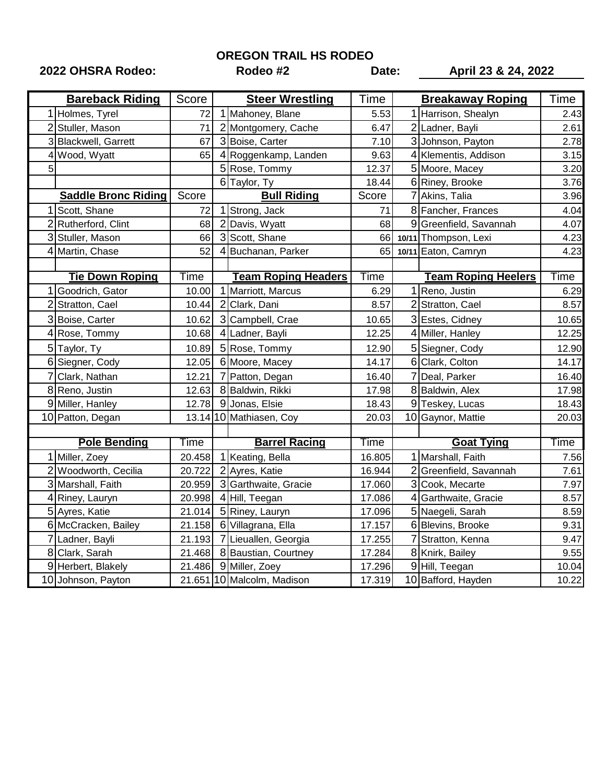**OREGON TRAIL HS RODEO**

**2022 OHSRA Rodeo: Rodeo #2 Date: April 23 & 24, 2022**

|   | <b>Bareback Riding</b>     | Score  | <b>Steer Wrestling</b>     | Time   | <b>Breakaway Roping</b>    | Time  |
|---|----------------------------|--------|----------------------------|--------|----------------------------|-------|
|   | 1 Holmes, Tyrel            | 72     | 1 Mahoney, Blane           | 5.53   | 1 Harrison, Shealyn        | 2.43  |
|   | 2 Stuller, Mason           | 71     | 2 Montgomery, Cache        | 6.47   | 2 Ladner, Bayli            | 2.61  |
|   | 3 Blackwell, Garrett       | 67     | 3 Boise, Carter            | 7.10   | 3 Johnson, Payton          | 2.78  |
|   | Wood, Wyatt                | 65     | 4 Roggenkamp, Landen       | 9.63   | 4 Klementis, Addison       | 3.15  |
| 5 |                            |        | 5 Rose, Tommy              | 12.37  | 5 Moore, Macey             | 3.20  |
|   |                            |        | 6 Taylor, Ty               | 18.44  | 6 Riney, Brooke            | 3.76  |
|   | <b>Saddle Bronc Riding</b> | Score  | <b>Bull Riding</b>         | Score  | Akins, Talia               | 3.96  |
|   | 1 Scott, Shane             | 72     | 1 Strong, Jack             | 71     | 8 Fancher, Frances         | 4.04  |
|   | 2 Rutherford, Clint        | 68     | 2 Davis, Wyatt             | 68     | 9 Greenfield, Savannah     | 4.07  |
|   | 3 Stuller, Mason           | 66     | 3 Scott, Shane             | 66     | 10/11 Thompson, Lexi       | 4.23  |
| 4 | Martin, Chase              | 52     | 4 Buchanan, Parker         | 65     | 10/11 Eaton, Camryn        | 4.23  |
|   |                            |        |                            |        |                            |       |
|   | <b>Tie Down Roping</b>     | Time   | <b>Team Roping Headers</b> | Time   | <b>Team Roping Heelers</b> | Time  |
|   | Goodrich, Gator            | 10.00  | Marriott, Marcus           | 6.29   | 1 Reno, Justin             | 6.29  |
|   | 2 Stratton, Cael           | 10.44  | 2 Clark, Dani              | 8.57   | 2 Stratton, Cael           | 8.57  |
|   | 3 Boise, Carter            | 10.62  | 3 Campbell, Crae           | 10.65  | 3 Estes, Cidney            | 10.65 |
|   | 4 Rose, Tommy              | 10.68  | 4 Ladner, Bayli            | 12.25  | 4 Miller, Hanley           | 12.25 |
|   | 5 Taylor, Ty               | 10.89  | 5 Rose, Tommy              | 12.90  | 5 Siegner, Cody            | 12.90 |
|   | 6 Siegner, Cody            | 12.05  | 6 Moore, Macey             | 14.17  | 6 Clark, Colton            | 14.17 |
|   | Clark, Nathan              | 12.21  | Patton, Degan              | 16.40  | Deal, Parker               | 16.40 |
|   | 8 Reno, Justin             | 12.63  | 8 Baldwin, Rikki           | 17.98  | 8 Baldwin, Alex            | 17.98 |
|   | 9 Miller, Hanley           | 12.78  | 9 Jonas, Elsie             | 18.43  | 9 Teskey, Lucas            | 18.43 |
|   | 10 Patton, Degan           |        | 13.14 10 Mathiasen, Coy    | 20.03  | 10 Gaynor, Mattie          | 20.03 |
|   |                            |        |                            |        |                            |       |
|   | <b>Pole Bending</b>        | Time   | <b>Barrel Racing</b>       | Time   | <b>Goat Tying</b>          | Time  |
|   | 1 Miller, Zoey             | 20.458 | 1 Keating, Bella           | 16.805 | 1 Marshall, Faith          | 7.56  |
|   | 2 Woodworth, Cecilia       | 20.722 | 2 Ayres, Katie             | 16.944 | 2 Greenfield, Savannah     | 7.61  |
|   | 3 Marshall, Faith          | 20.959 | 3 Garthwaite, Gracie       | 17.060 | 3 Cook, Mecarte            | 7.97  |
|   | 4 Riney, Lauryn            | 20.998 | 4 Hill, Teegan             | 17.086 | 4 Garthwaite, Gracie       | 8.57  |
|   | 5 Ayres, Katie             | 21.014 | 5 Riney, Lauryn            | 17.096 | 5 Naegeli, Sarah           | 8.59  |
|   | 6 McCracken, Bailey        | 21.158 | 6 Villagrana, Ella         | 17.157 | 6 Blevins, Brooke          | 9.31  |
|   | 7 Ladner, Bayli            | 21.193 | 7 Lieuallen, Georgia       | 17.255 | 7 Stratton, Kenna          | 9.47  |
|   | 8 Clark, Sarah             | 21.468 | 8 Baustian, Courtney       | 17.284 | 8 Knirk, Bailey            | 9.55  |
|   | 9 Herbert, Blakely         | 21.486 | 9 Miller, Zoey             | 17.296 | 9 Hill, Teegan             | 10.04 |
|   | 10 Johnson, Payton         |        | 21.651 10 Malcolm, Madison | 17.319 | 10 Bafford, Hayden         | 10.22 |